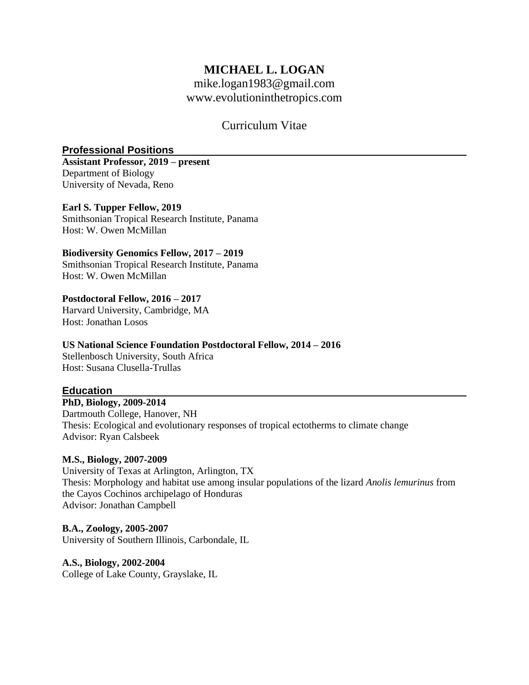# **MICHAEL L. LOGAN**

[mike.logan1983@gmail.com](mailto:mike.logan1983@gmail.com) [www.evolutioninthetropics.com](http://www.evolutioninthetropics.com/)

## Curriculum Vitae

## **Professional Positions**

**Assistant Professor, 2019 – present**  Department of Biology University of Nevada, Reno

## **Earl S. Tupper Fellow, 2019**

Smithsonian Tropical Research Institute, Panama Host: W. Owen McMillan

## **Biodiversity Genomics Fellow, 2017 – 2019**

Smithsonian Tropical Research Institute, Panama Host: W. Owen McMillan

#### **Postdoctoral Fellow, 2016 – 2017**

Harvard University, Cambridge, MA Host: Jonathan Losos

## **US National Science Foundation Postdoctoral Fellow, 2014 – 2016**

Stellenbosch University, South Africa Host: Susana Clusella-Trullas

## **Education**

#### **PhD, Biology, 2009-2014**

Dartmouth College, Hanover, NH Thesis: Ecological and evolutionary responses of tropical ectotherms to climate change Advisor: Ryan Calsbeek

## **M.S., Biology, 2007-2009**

University of Texas at Arlington, Arlington, TX Thesis: Morphology and habitat use among insular populations of the lizard *Anolis lemurinus* from the Cayos Cochinos archipelago of Honduras Advisor: Jonathan Campbell

## **B.A., Zoology, 2005-2007**

University of Southern Illinois, Carbondale, IL

#### **A.S., Biology, 2002-2004**

College of Lake County, Grayslake, IL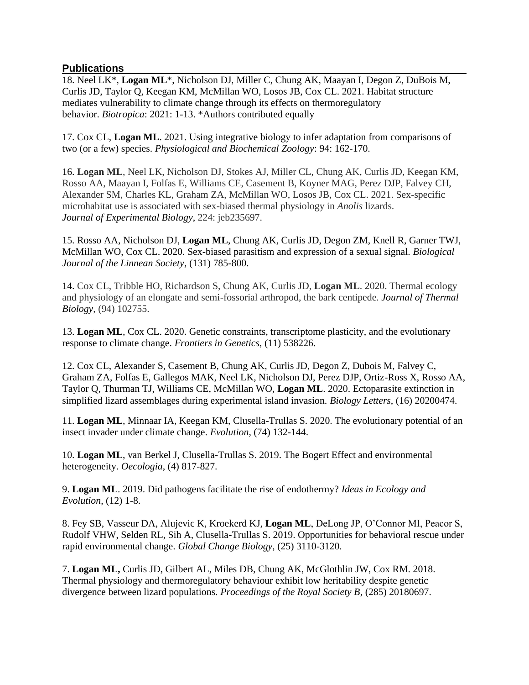## **Publications**

18. Neel LK\*, **Logan ML**\*, Nicholson DJ, Miller C, Chung AK, Maayan I, Degon Z, DuBois M, Curlis JD, Taylor Q, Keegan KM, McMillan WO, Losos JB, Cox CL. 2021. Habitat structure mediates vulnerability to climate change through its effects on thermoregulatory behavior. *Biotropica*: 2021: 1-13. \*Authors contributed equally

17. Cox CL, **Logan ML**. 2021. Using integrative biology to infer adaptation from comparisons of two (or a few) species. *Physiological and Biochemical Zoology*: 94: 162-170.

16. **Logan ML**, Neel LK, Nicholson DJ, Stokes AJ, Miller CL, Chung AK, Curlis JD, Keegan KM, Rosso AA, Maayan I, Folfas E, Williams CE, Casement B, Koyner MAG, Perez DJP, Falvey CH, Alexander SM, Charles KL, Graham ZA, McMillan WO, Losos JB, Cox CL. 2021. Sex-specific microhabitat use is associated with sex-biased thermal physiology in *Anolis* lizards. *Journal of Experimental Biology*, 224: jeb235697.

15. Rosso AA, Nicholson DJ, **Logan ML**, Chung AK, Curlis JD, Degon ZM, Knell R, Garner TWJ, McMillan WO, Cox CL. 2020. Sex-biased parasitism and expression of a sexual signal. *Biological Journal of the Linnean Society*, (131) 785-800.

14. Cox CL, Tribble HO, Richardson S, Chung AK, Curlis JD, **Logan ML**. 2020. Thermal ecology and physiology of an elongate and semi-fossorial arthropod, the bark centipede. *Journal of Thermal Biology*, (94) 102755.

13. **Logan ML**, Cox CL. 2020. Genetic constraints, transcriptome plasticity, and the evolutionary response to climate change. *Frontiers in Genetics*, (11) 538226.

12. Cox CL, Alexander S, Casement B, Chung AK, Curlis JD, Degon Z, Dubois M, Falvey C, Graham ZA, Folfas E, Gallegos MAK, Neel LK, Nicholson DJ, Perez DJP, Ortiz-Ross X, Rosso AA, Taylor Q, Thurman TJ, Williams CE, McMillan WO, **Logan ML**. 2020. Ectoparasite extinction in simplified lizard assemblages during experimental island invasion. *Biology Letters*, (16) 20200474.

11. **Logan ML**, Minnaar IA, Keegan KM, Clusella-Trullas S. 2020. The evolutionary potential of an insect invader under climate change. *Evolution*, (74) 132-144.

10. **Logan ML**, van Berkel J, Clusella-Trullas S. 2019. The Bogert Effect and environmental heterogeneity. *Oecologia*, (4) 817-827.

9. **Logan ML**. 2019. Did pathogens facilitate the rise of endothermy? *Ideas in Ecology and Evolution*, (12) 1-8.

8. Fey SB, Vasseur DA, Alujevic K, Kroekerd KJ, **Logan ML**, DeLong JP, O'Connor MI, Peacor S, Rudolf VHW, Selden RL, Sih A, Clusella-Trullas S. 2019. Opportunities for behavioral rescue under rapid environmental change. *Global Change Biology*, (25) 3110-3120.

7. **Logan ML,** Curlis JD, Gilbert AL, Miles DB, Chung AK, McGlothlin JW, Cox RM. 2018. Thermal physiology and thermoregulatory behaviour exhibit low heritability despite genetic divergence between lizard populations. *Proceedings of the Royal Society B*, (285) 20180697.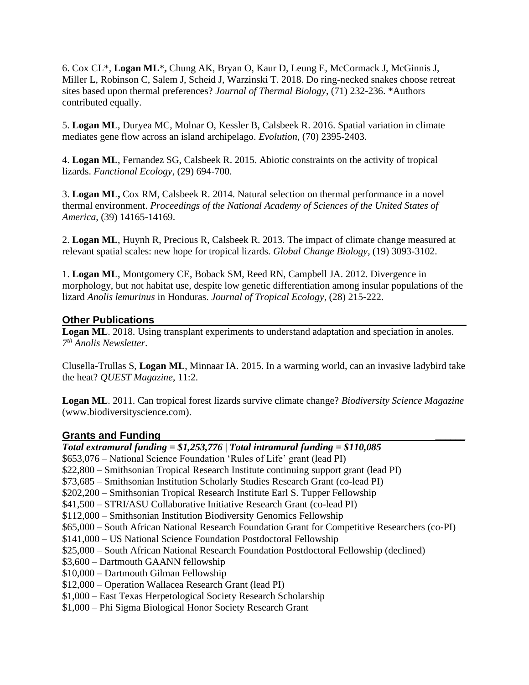6. Cox CL\*, **Logan ML**\***,** Chung AK, Bryan O, Kaur D, Leung E, McCormack J, McGinnis J, Miller L, Robinson C, Salem J, Scheid J, Warzinski T. 2018. Do ring-necked snakes choose retreat sites based upon thermal preferences? *Journal of Thermal Biology*, (71) 232-236. \*Authors contributed equally.

5. **Logan ML**, Duryea MC, Molnar O, Kessler B, Calsbeek R. 2016. Spatial variation in climate mediates gene flow across an island archipelago. *Evolution*, (70) 2395-2403.

4. **Logan ML**, Fernandez SG, Calsbeek R. 2015. Abiotic constraints on the activity of tropical lizards. *Functional Ecology*, (29) 694-700.

3. **Logan ML,** Cox RM, Calsbeek R. 2014. Natural selection on thermal performance in a novel thermal environment. *Proceedings of the National Academy of Sciences of the United States of America*, (39) 14165-14169.

2. **Logan ML**, Huynh R, Precious R, Calsbeek R. 2013. The impact of climate change measured at relevant spatial scales: new hope for tropical lizards. *Global Change Biology*, (19) 3093-3102.

1. **Logan ML**, Montgomery CE, Boback SM, Reed RN, Campbell JA. 2012. Divergence in morphology, but not habitat use, despite low genetic differentiation among insular populations of the lizard *Anolis lemurinus* in Honduras. *Journal of Tropical Ecology*, (28) 215-222.

## **Other Publications**

**Logan ML**. 2018. Using transplant experiments to understand adaptation and speciation in anoles. *7 th Anolis Newsletter*.

Clusella-Trullas S, **Logan ML**, Minnaar IA. 2015. In a warming world, can an invasive ladybird take the heat? *QUEST Magazine*, 11:2.

**Logan ML**. 2011. Can tropical forest lizards survive climate change? *Biodiversity Science Magazine* (www.biodiversityscience.com).

#### **Grants and Funding \_\_\_\_\_\_**

*Total extramural funding = \$1,253,776 | Total intramural funding = \$110,085* \$653,076 – National Science Foundation 'Rules of Life' grant (lead PI) \$22,800 – Smithsonian Tropical Research Institute continuing support grant (lead PI) \$73,685 – Smithsonian Institution Scholarly Studies Research Grant (co-lead PI) \$202,200 – Smithsonian Tropical Research Institute Earl S. Tupper Fellowship \$41,500 – STRI/ASU Collaborative Initiative Research Grant (co-lead PI) \$112,000 – Smithsonian Institution Biodiversity Genomics Fellowship \$65,000 – South African National Research Foundation Grant for Competitive Researchers (co-PI) \$141,000 – US National Science Foundation Postdoctoral Fellowship \$25,000 – South African National Research Foundation Postdoctoral Fellowship (declined) \$3,600 – Dartmouth GAANN fellowship \$10,000 – Dartmouth Gilman Fellowship \$12,000 – Operation Wallacea Research Grant (lead PI) \$1,000 – East Texas Herpetological Society Research Scholarship \$1,000 – Phi Sigma Biological Honor Society Research Grant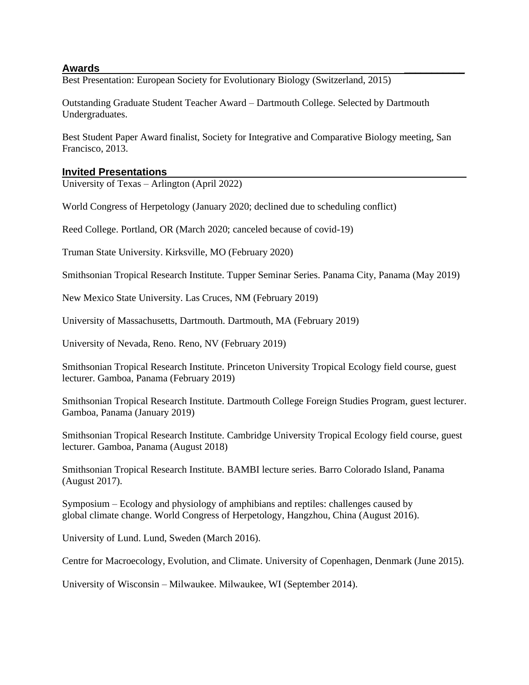## **Awards \_\_\_\_\_\_\_\_\_\_\_**

Best Presentation: European Society for Evolutionary Biology (Switzerland, 2015)

Outstanding Graduate Student Teacher Award – Dartmouth College. Selected by Dartmouth Undergraduates.

Best Student Paper Award finalist, Society for Integrative and Comparative Biology meeting, San Francisco, 2013.

#### **Invited Presentations**

University of Texas – Arlington (April 2022)

World Congress of Herpetology (January 2020; declined due to scheduling conflict)

Reed College. Portland, OR (March 2020; canceled because of covid-19)

Truman State University. Kirksville, MO (February 2020)

Smithsonian Tropical Research Institute. Tupper Seminar Series. Panama City, Panama (May 2019)

New Mexico State University. Las Cruces, NM (February 2019)

University of Massachusetts, Dartmouth. Dartmouth, MA (February 2019)

University of Nevada, Reno. Reno, NV (February 2019)

Smithsonian Tropical Research Institute. Princeton University Tropical Ecology field course, guest lecturer. Gamboa, Panama (February 2019)

Smithsonian Tropical Research Institute. Dartmouth College Foreign Studies Program, guest lecturer. Gamboa, Panama (January 2019)

Smithsonian Tropical Research Institute. Cambridge University Tropical Ecology field course, guest lecturer. Gamboa, Panama (August 2018)

Smithsonian Tropical Research Institute. BAMBI lecture series. Barro Colorado Island, Panama (August 2017).

Symposium – Ecology and physiology of amphibians and reptiles: challenges caused by global climate change. World Congress of Herpetology, Hangzhou, China (August 2016).

University of Lund. Lund, Sweden (March 2016).

Centre for Macroecology, Evolution, and Climate. University of Copenhagen, Denmark (June 2015).

University of Wisconsin – Milwaukee. Milwaukee, WI (September 2014).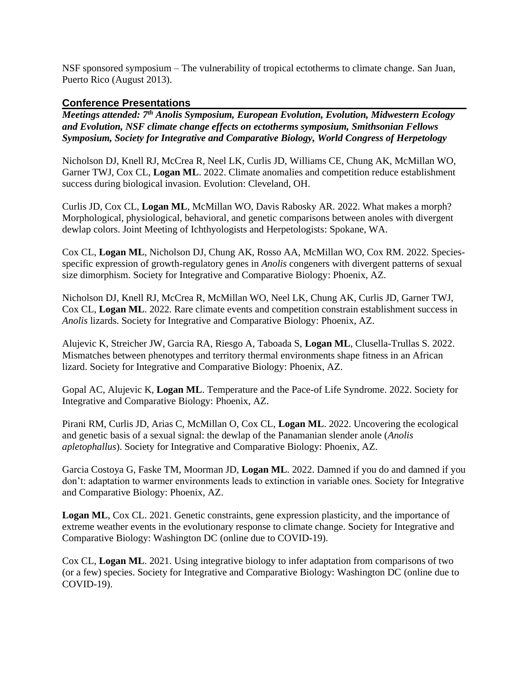NSF sponsored symposium – The vulnerability of tropical ectotherms to climate change. San Juan, Puerto Rico (August 2013).

## **Conference Presentations**

*Meetings attended: 7 th Anolis Symposium, European Evolution, Evolution, Midwestern Ecology and Evolution, NSF climate change effects on ectotherms symposium, Smithsonian Fellows Symposium, Society for Integrative and Comparative Biology, World Congress of Herpetology*

Nicholson DJ, Knell RJ, McCrea R, Neel LK, Curlis JD, Williams CE, Chung AK, McMillan WO, Garner TWJ, Cox CL, **Logan ML**. 2022. Climate anomalies and competition reduce establishment success during biological invasion. Evolution: Cleveland, OH.

Curlis JD, Cox CL, **Logan ML**, McMillan WO, Davis Rabosky AR. 2022. What makes a morph? Morphological, physiological, behavioral, and genetic comparisons between anoles with divergent dewlap colors. Joint Meeting of Ichthyologists and Herpetologists: Spokane, WA.

Cox CL, **Logan ML**, Nicholson DJ, Chung AK, Rosso AA, McMillan WO, Cox RM. 2022. Speciesspecific expression of growth-regulatory genes in *Anolis* congeners with divergent patterns of sexual size dimorphism. Society for Integrative and Comparative Biology: Phoenix, AZ.

Nicholson DJ, Knell RJ, McCrea R, McMillan WO, Neel LK, Chung AK, Curlis JD, Garner TWJ, Cox CL, **Logan ML**. 2022. Rare climate events and competition constrain establishment success in *Anolis* lizards. Society for Integrative and Comparative Biology: Phoenix, AZ.

Alujevic K, Streicher JW, Garcia RA, Riesgo A, Taboada S, **Logan ML**, Clusella-Trullas S. 2022. Mismatches between phenotypes and territory thermal environments shape fitness in an African lizard. Society for Integrative and Comparative Biology: Phoenix, AZ.

Gopal AC, Alujevic K, **Logan ML**. Temperature and the Pace-of Life Syndrome. 2022. Society for Integrative and Comparative Biology: Phoenix, AZ.

Pirani RM, Curlis JD, Arias C, McMillan O, Cox CL, **Logan ML**. 2022. Uncovering the ecological and genetic basis of a sexual signal: the dewlap of the Panamanian slender anole (*Anolis apletophallus*). Society for Integrative and Comparative Biology: Phoenix, AZ.

Garcia Costoya G, Faske TM, Moorman JD, **Logan ML**. 2022. Damned if you do and damned if you don't: adaptation to warmer environments leads to extinction in variable ones. Society for Integrative and Comparative Biology: Phoenix, AZ.

**Logan ML**, Cox CL. 2021. Genetic constraints, gene expression plasticity, and the importance of extreme weather events in the evolutionary response to climate change. Society for Integrative and Comparative Biology: Washington DC (online due to COVID-19).

Cox CL, **Logan ML**. 2021. Using integrative biology to infer adaptation from comparisons of two (or a few) species. Society for Integrative and Comparative Biology: Washington DC (online due to COVID-19).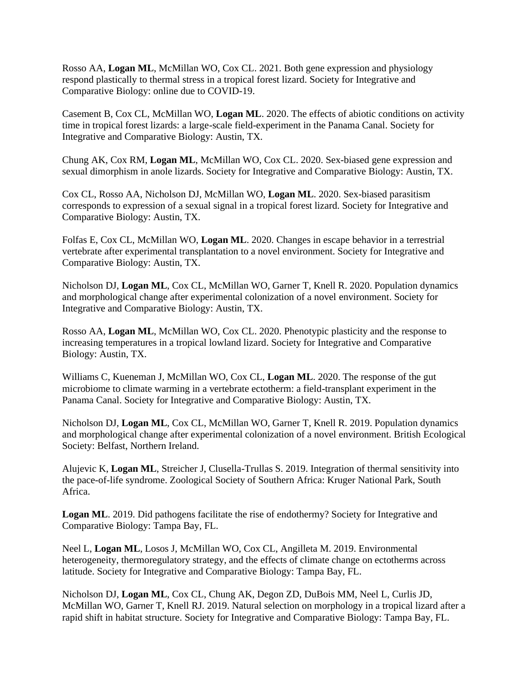Rosso AA, **Logan ML**, McMillan WO, Cox CL. 2021. Both gene expression and physiology respond plastically to thermal stress in a tropical forest lizard. Society for Integrative and Comparative Biology: online due to COVID-19.

Casement B, Cox CL, McMillan WO, **Logan ML**. 2020. The effects of abiotic conditions on activity time in tropical forest lizards: a large-scale field-experiment in the Panama Canal. Society for Integrative and Comparative Biology: Austin, TX.

Chung AK, Cox RM, **Logan ML**, McMillan WO, Cox CL. 2020. Sex-biased gene expression and sexual dimorphism in anole lizards. Society for Integrative and Comparative Biology: Austin, TX.

Cox CL, Rosso AA, Nicholson DJ, McMillan WO, **Logan ML**. 2020. Sex-biased parasitism corresponds to expression of a sexual signal in a tropical forest lizard. Society for Integrative and Comparative Biology: Austin, TX.

Folfas E, Cox CL, McMillan WO, **Logan ML**. 2020. Changes in escape behavior in a terrestrial vertebrate after experimental transplantation to a novel environment. Society for Integrative and Comparative Biology: Austin, TX.

Nicholson DJ, **Logan ML**, Cox CL, McMillan WO, Garner T, Knell R. 2020. Population dynamics and morphological change after experimental colonization of a novel environment. Society for Integrative and Comparative Biology: Austin, TX.

Rosso AA, **Logan ML**, McMillan WO, Cox CL. 2020. Phenotypic plasticity and the response to increasing temperatures in a tropical lowland lizard. Society for Integrative and Comparative Biology: Austin, TX.

Williams C, Kueneman J, McMillan WO, Cox CL, **Logan ML**. 2020. The response of the gut microbiome to climate warming in a vertebrate ectotherm: a field-transplant experiment in the Panama Canal. Society for Integrative and Comparative Biology: Austin, TX.

Nicholson DJ, **Logan ML**, Cox CL, McMillan WO, Garner T, Knell R. 2019. Population dynamics and morphological change after experimental colonization of a novel environment. British Ecological Society: Belfast, Northern Ireland.

Alujevic K, **Logan ML**, Streicher J, Clusella-Trullas S. 2019. Integration of thermal sensitivity into the pace-of-life syndrome. Zoological Society of Southern Africa: Kruger National Park, South Africa.

**Logan ML.** 2019. Did pathogens facilitate the rise of endothermy? Society for Integrative and Comparative Biology: Tampa Bay, FL.

Neel L, **Logan ML**, Losos J, McMillan WO, Cox CL, Angilleta M. 2019. Environmental heterogeneity, thermoregulatory strategy, and the effects of climate change on ectotherms across latitude. Society for Integrative and Comparative Biology: Tampa Bay, FL.

Nicholson DJ, **Logan ML**, Cox CL, Chung AK, Degon ZD, DuBois MM, Neel L, Curlis JD, McMillan WO, Garner T, Knell RJ. 2019. Natural selection on morphology in a tropical lizard after a rapid shift in habitat structure. Society for Integrative and Comparative Biology: Tampa Bay, FL.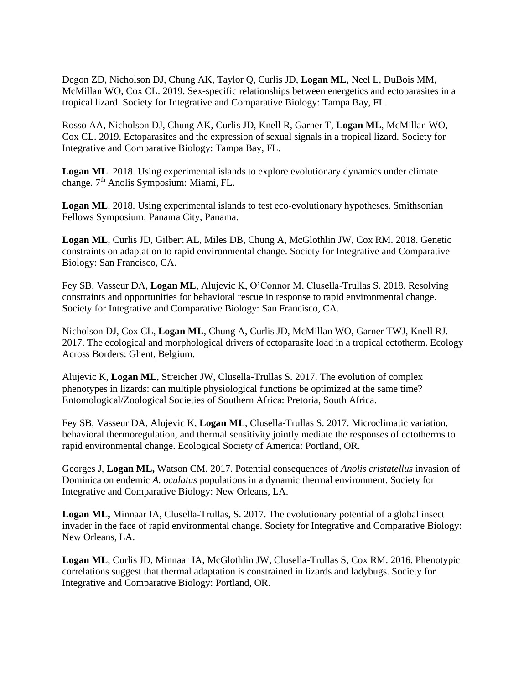Degon ZD, Nicholson DJ, Chung AK, Taylor Q, Curlis JD, **Logan ML**, Neel L, DuBois MM, McMillan WO, Cox CL. 2019. Sex-specific relationships between energetics and ectoparasites in a tropical lizard. Society for Integrative and Comparative Biology: Tampa Bay, FL.

Rosso AA, Nicholson DJ, Chung AK, Curlis JD, Knell R, Garner T, **Logan ML**, McMillan WO, Cox CL. 2019. Ectoparasites and the expression of sexual signals in a tropical lizard. Society for Integrative and Comparative Biology: Tampa Bay, FL.

**Logan ML**. 2018. Using experimental islands to explore evolutionary dynamics under climate change. 7<sup>th</sup> Anolis Symposium: Miami, FL.

**Logan ML.** 2018. Using experimental islands to test eco-evolutionary hypotheses. Smithsonian Fellows Symposium: Panama City, Panama.

**Logan ML**, Curlis JD, Gilbert AL, Miles DB, Chung A, McGlothlin JW, Cox RM. 2018. Genetic constraints on adaptation to rapid environmental change. Society for Integrative and Comparative Biology: San Francisco, CA.

Fey SB, Vasseur DA, **Logan ML**, Alujevic K, O'Connor M, Clusella-Trullas S. 2018. Resolving constraints and opportunities for behavioral rescue in response to rapid environmental change. Society for Integrative and Comparative Biology: San Francisco, CA.

Nicholson DJ, Cox CL, **Logan ML**, Chung A, Curlis JD, McMillan WO, Garner TWJ, Knell RJ. 2017. The ecological and morphological drivers of ectoparasite load in a tropical ectotherm. Ecology Across Borders: Ghent, Belgium.

Alujevic K, **Logan ML**, Streicher JW, Clusella-Trullas S. 2017. The evolution of complex phenotypes in lizards: can multiple physiological functions be optimized at the same time? Entomological/Zoological Societies of Southern Africa: Pretoria, South Africa.

Fey SB, Vasseur DA, Alujevic K, **Logan ML**, Clusella-Trullas S. 2017. Microclimatic variation, behavioral thermoregulation, and thermal sensitivity jointly mediate the responses of ectotherms to rapid environmental change. Ecological Society of America: Portland, OR.

Georges J, **Logan ML,** Watson CM. 2017. Potential consequences of *Anolis cristatellus* invasion of Dominica on endemic *A. oculatus* populations in a dynamic thermal environment. Society for Integrative and Comparative Biology: New Orleans, LA.

**Logan ML,** Minnaar IA, Clusella-Trullas, S. 2017. The evolutionary potential of a global insect invader in the face of rapid environmental change. Society for Integrative and Comparative Biology: New Orleans, LA.

**Logan ML**, Curlis JD, Minnaar IA, McGlothlin JW, Clusella-Trullas S, Cox RM. 2016. Phenotypic correlations suggest that thermal adaptation is constrained in lizards and ladybugs. Society for Integrative and Comparative Biology: Portland, OR.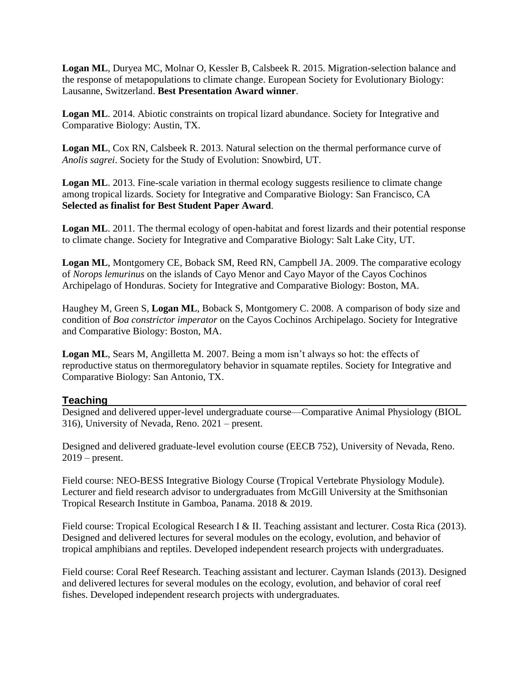**Logan ML**, Duryea MC, Molnar O, Kessler B, Calsbeek R. 2015. Migration-selection balance and the response of metapopulations to climate change. European Society for Evolutionary Biology: Lausanne, Switzerland. **Best Presentation Award winner**.

**Logan ML**. 2014. Abiotic constraints on tropical lizard abundance. Society for Integrative and Comparative Biology: Austin, TX.

**Logan ML**, Cox RN, Calsbeek R. 2013. Natural selection on the thermal performance curve of *Anolis sagrei*. Society for the Study of Evolution: Snowbird, UT.

**Logan ML.** 2013. Fine-scale variation in thermal ecology suggests resilience to climate change among tropical lizards. Society for Integrative and Comparative Biology: San Francisco, CA **Selected as finalist for Best Student Paper Award**.

**Logan ML**. 2011. The thermal ecology of open-habitat and forest lizards and their potential response to climate change. Society for Integrative and Comparative Biology: Salt Lake City, UT.

**Logan ML**, Montgomery CE, Boback SM, Reed RN, Campbell JA. 2009. The comparative ecology of *Norops lemurinus* on the islands of Cayo Menor and Cayo Mayor of the Cayos Cochinos Archipelago of Honduras. Society for Integrative and Comparative Biology: Boston, MA.

Haughey M, Green S, **Logan ML**, Boback S, Montgomery C. 2008. A comparison of body size and condition of *Boa constrictor imperator* on the Cayos Cochinos Archipelago. Society for Integrative and Comparative Biology: Boston, MA.

**Logan ML**, Sears M, Angilletta M. 2007. Being a mom isn't always so hot: the effects of reproductive status on thermoregulatory behavior in squamate reptiles. Society for Integrative and Comparative Biology: San Antonio, TX.

## **Teaching**

Designed and delivered upper-level undergraduate course—Comparative Animal Physiology (BIOL 316), University of Nevada, Reno. 2021 – present.

Designed and delivered graduate-level evolution course (EECB 752), University of Nevada, Reno. 2019 – present.

Field course: NEO-BESS Integrative Biology Course (Tropical Vertebrate Physiology Module). Lecturer and field research advisor to undergraduates from McGill University at the Smithsonian Tropical Research Institute in Gamboa, Panama. 2018 & 2019.

Field course: Tropical Ecological Research I & II. Teaching assistant and lecturer. Costa Rica (2013). Designed and delivered lectures for several modules on the ecology, evolution, and behavior of tropical amphibians and reptiles. Developed independent research projects with undergraduates.

Field course: Coral Reef Research. Teaching assistant and lecturer. Cayman Islands (2013). Designed and delivered lectures for several modules on the ecology, evolution, and behavior of coral reef fishes. Developed independent research projects with undergraduates.